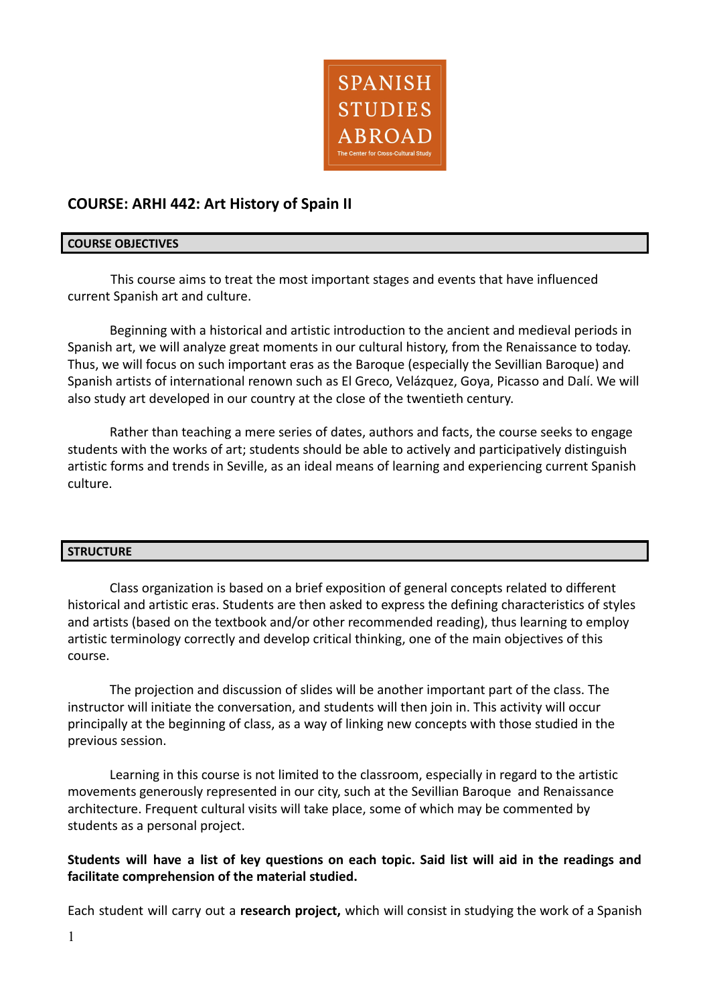

# **COURSE: ARHI 442: Art History of Spain II**

### **COURSE OBJECTIVES**

This course aims to treat the most important stages and events that have influenced current Spanish art and culture.

Beginning with a historical and artistic introduction to the ancient and medieval periods in Spanish art, we will analyze great moments in our cultural history, from the Renaissance to today. Thus, we will focus on such important eras as the Baroque (especially the Sevillian Baroque) and Spanish artists of international renown such as El Greco, Velázquez, Goya, Picasso and Dalí. We will also study art developed in our country at the close of the twentieth century.

Rather than teaching a mere series of dates, authors and facts, the course seeks to engage students with the works of art; students should be able to actively and participatively distinguish artistic forms and trends in Seville, as an ideal means of learning and experiencing current Spanish culture.

## **STRUCTURE**

Class organization is based on a brief exposition of general concepts related to different historical and artistic eras. Students are then asked to express the defining characteristics of styles and artists (based on the textbook and/or other recommended reading), thus learning to employ artistic terminology correctly and develop critical thinking, one of the main objectives of this course.

The projection and discussion of slides will be another important part of the class. The instructor will initiate the conversation, and students will then join in. This activity will occur principally at the beginning of class, as a way of linking new concepts with those studied in the previous session.

Learning in this course is not limited to the classroom, especially in regard to the artistic movements generously represented in our city, such at the Sevillian Baroque and Renaissance architecture. Frequent cultural visits will take place, some of which may be commented by students as a personal project.

# Students will have a list of key questions on each topic. Said list will aid in the readings and **facilitate comprehension of the material studied.**

Each student will carry out a **research project,** which will consist in studying the work of a Spanish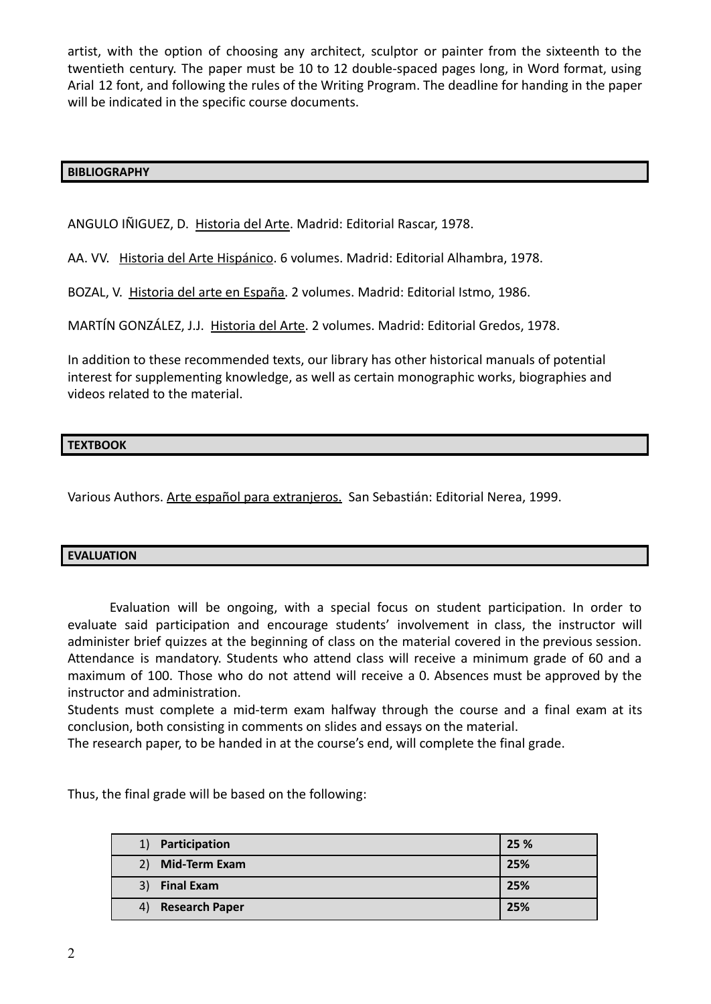artist, with the option of choosing any architect, sculptor or painter from the sixteenth to the twentieth century. The paper must be 10 to 12 double-spaced pages long, in Word format, using Arial 12 font, and following the rules of the Writing Program. The deadline for handing in the paper will be indicated in the specific course documents.

### **BIBLIOGRAPHY**

ANGULO IÑIGUEZ, D. Historia del Arte. Madrid: Editorial Rascar, 1978.

AA. VV. Historia del Arte Hispánico. 6 volumes. Madrid: Editorial Alhambra, 1978.

BOZAL, V. Historia del arte en España. 2 volumes. Madrid: Editorial Istmo, 1986.

MARTÍN GONZÁLEZ, J.J. Historia del Arte. 2 volumes. Madrid: Editorial Gredos, 1978.

In addition to these recommended texts, our library has other historical manuals of potential interest for supplementing knowledge, as well as certain monographic works, biographies and videos related to the material.

### **TEXTBOOK**

Various Authors. Arte español para extranjeros. San Sebastián: Editorial Nerea, 1999.

#### **EVALUATION**

Evaluation will be ongoing, with a special focus on student participation. In order to evaluate said participation and encourage students' involvement in class, the instructor will administer brief quizzes at the beginning of class on the material covered in the previous session. Attendance is mandatory. Students who attend class will receive a minimum grade of 60 and a maximum of 100. Those who do not attend will receive a 0. Absences must be approved by the instructor and administration.

Students must complete a mid-term exam halfway through the course and a final exam at its conclusion, both consisting in comments on slides and essays on the material.

The research paper, to be handed in at the course's end, will complete the final grade.

Thus, the final grade will be based on the following:

| Participation<br>1)         | 25 % |
|-----------------------------|------|
| <b>Mid-Term Exam</b><br>2)  | 25%  |
| <b>Final Exam</b><br>3)     | 25%  |
| <b>Research Paper</b><br>4) | 25%  |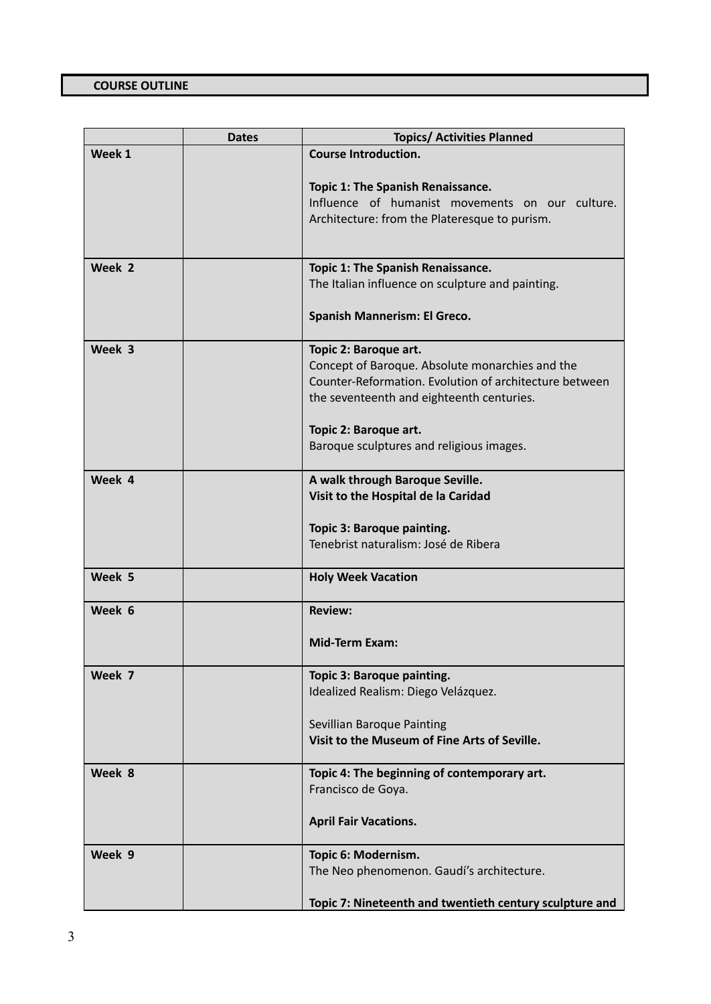|        | <b>Dates</b> | <b>Topics/ Activities Planned</b>                                                                                                                                               |
|--------|--------------|---------------------------------------------------------------------------------------------------------------------------------------------------------------------------------|
| Week 1 |              | <b>Course Introduction.</b>                                                                                                                                                     |
|        |              | Topic 1: The Spanish Renaissance.<br>Influence of humanist movements on our culture.<br>Architecture: from the Plateresque to purism.                                           |
| Week 2 |              | Topic 1: The Spanish Renaissance.                                                                                                                                               |
|        |              | The Italian influence on sculpture and painting.                                                                                                                                |
|        |              | Spanish Mannerism: El Greco.                                                                                                                                                    |
| Week 3 |              | Topic 2: Baroque art.<br>Concept of Baroque. Absolute monarchies and the<br>Counter-Reformation. Evolution of architecture between<br>the seventeenth and eighteenth centuries. |
|        |              | Topic 2: Baroque art.<br>Baroque sculptures and religious images.                                                                                                               |
| Week 4 |              | A walk through Baroque Seville.<br>Visit to the Hospital de la Caridad<br>Topic 3: Baroque painting.<br>Tenebrist naturalism: José de Ribera                                    |
| Week 5 |              | <b>Holy Week Vacation</b>                                                                                                                                                       |
| Week 6 |              | <b>Review:</b>                                                                                                                                                                  |
|        |              | <b>Mid-Term Exam:</b>                                                                                                                                                           |
| Week 7 |              | Topic 3: Baroque painting.<br>Idealized Realism: Diego Velázquez.<br>Sevillian Baroque Painting<br>Visit to the Museum of Fine Arts of Seville.                                 |
| Week 8 |              | Topic 4: The beginning of contemporary art.<br>Francisco de Goya.                                                                                                               |
|        |              | <b>April Fair Vacations.</b>                                                                                                                                                    |
| Week 9 |              | Topic 6: Modernism.<br>The Neo phenomenon. Gaudí's architecture.                                                                                                                |
|        |              | Topic 7: Nineteenth and twentieth century sculpture and                                                                                                                         |